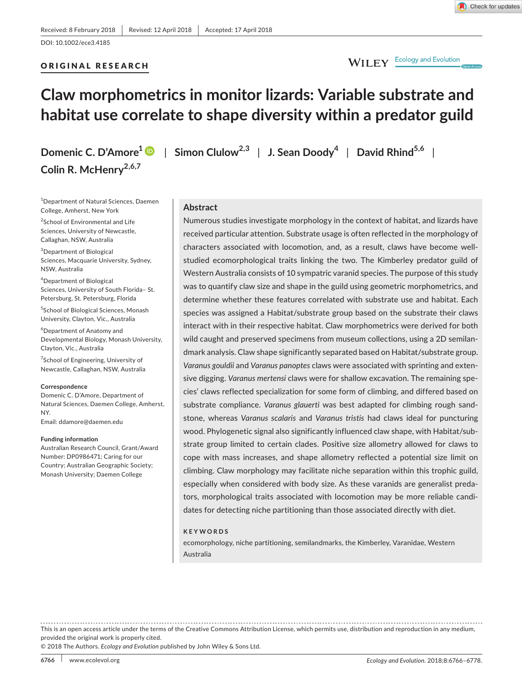# ORIGINAL RESEARCH

# WILEY Ecology and Evolution

# **Claw morphometrics in monitor lizards: Variable substrate and habitat use correlate to shape diversity within a predator guild**

**Colin R. McHenry2,6,7**

1 Department of Natural Sciences, Daemen College, Amherst, New York

<sup>2</sup>School of Environmental and Life Sciences, University of Newcastle, Callaghan, NSW, Australia

3 Department of Biological Sciences, Macquarie University, Sydney, NSW, Australia

4 Department of Biological Sciences, University of South Florida– St. Petersburg, St. Petersburg, Florida

5 School of Biological Sciences, Monash University, Clayton, Vic., Australia

6 Department of Anatomy and Developmental Biology, Monash University, Clayton, Vic., Australia

<sup>7</sup>School of Engineering, University of Newcastle, Callaghan, NSW, Australia

#### **Correspondence**

Domenic C. D'Amore, Department of Natural Sciences, Daemen College, Amherst, NY. Email: [ddamore@daemen.edu](mailto:ddamore@daemen.edu)

#### **Funding information**

Australian Research Council, Grant/Award Number: DP0986471; Caring for our Country; Australian Geographic Society; Monash University; Daemen College

**Domenic C. D'Amore[1](http://orcid.org/0000-0003-1995-4376)** | **Simon Clulow2,3** | **J. Sean Doody<sup>4</sup>** | **David Rhind5,6** |

### **Abstract**

Numerous studies investigate morphology in the context of habitat, and lizards have received particular attention. Substrate usage is often reflected in the morphology of characters associated with locomotion, and, as a result, claws have become wellstudied ecomorphological traits linking the two. The Kimberley predator guild of Western Australia consists of 10 sympatric varanid species. The purpose of this study was to quantify claw size and shape in the guild using geometric morphometrics, and determine whether these features correlated with substrate use and habitat. Each species was assigned a Habitat/substrate group based on the substrate their claws interact with in their respective habitat. Claw morphometrics were derived for both wild caught and preserved specimens from museum collections, using a 2D semilandmark analysis. Claw shape significantly separated based on Habitat/substrate group. *Varanus gouldii* and *Varanus panoptes* claws were associated with sprinting and extensive digging. *Varanus mertensi* claws were for shallow excavation. The remaining species' claws reflected specialization for some form of climbing, and differed based on substrate compliance. *Varanus glauerti* was best adapted for climbing rough sandstone, whereas *Varanus scalaris* and *Varanus tristis* had claws ideal for puncturing wood. Phylogenetic signal also significantly influenced claw shape, with Habitat/substrate group limited to certain clades. Positive size allometry allowed for claws to cope with mass increases, and shape allometry reflected a potential size limit on climbing. Claw morphology may facilitate niche separation within this trophic guild, especially when considered with body size. As these varanids are generalist predators, morphological traits associated with locomotion may be more reliable candidates for detecting niche partitioning than those associated directly with diet.

#### **KEYWORDS**

ecomorphology, niche partitioning, semilandmarks, the Kimberley, Varanidae, Western Australia

This is an open access article under the terms of the [Creative Commons Attribution](http://creativecommons.org/licenses/by/4.0/) License, which permits use, distribution and reproduction in any medium, provided the original work is properly cited.

© 2018 The Authors. *Ecology and Evolution* published by John Wiley & Sons Ltd.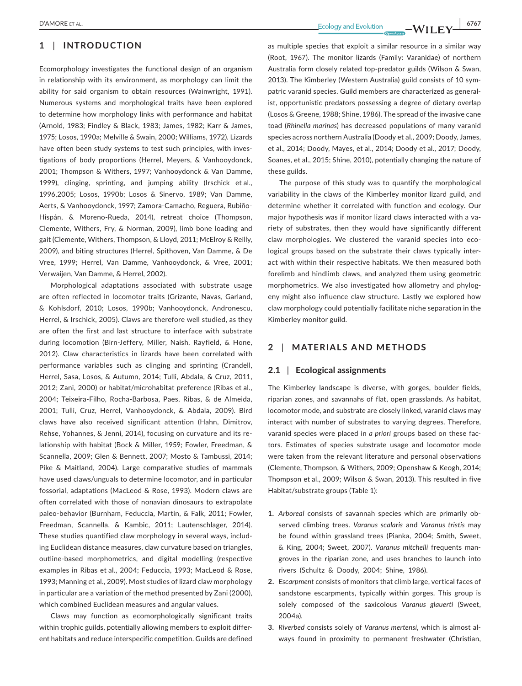# **1** | **INTRODUCTION**

Ecomorphology investigates the functional design of an organism in relationship with its environment, as morphology can limit the ability for said organism to obtain resources (Wainwright, 1991). Numerous systems and morphological traits have been explored to determine how morphology links with performance and habitat (Arnold, 1983; Findley & Black, 1983; James, 1982; Karr & James, 1975; Losos, 1990a; Melville & Swain, 2000; Williams, 1972). Lizards have often been study systems to test such principles, with investigations of body proportions (Herrel, Meyers, & Vanhooydonck, 2001; Thompson & Withers, 1997; Vanhooydonck & Van Damme, 1999), clinging, sprinting, and jumping ability (Irschick et al., 1996,2005; Losos, 1990b; Losos & Sinervo, 1989; Van Damme, Aerts, & Vanhooydonck, 1997; Zamora-Camacho, Reguera, Rubiño-Hispán, & Moreno-Rueda, 2014), retreat choice (Thompson, Clemente, Withers, Fry, & Norman, 2009), limb bone loading and gait (Clemente, Withers, Thompson, & Lloyd, 2011; McElroy & Reilly, 2009), and biting structures (Herrel, Spithoven, Van Damme, & De Vree, 1999; Herrel, Van Damme, Vanhooydonck, & Vree, 2001; Verwaijen, Van Damme, & Herrel, 2002).

Morphological adaptations associated with substrate usage are often reflected in locomotor traits (Grizante, Navas, Garland, & Kohlsdorf, 2010; Losos, 1990b; Vanhooydonck, Andronescu, Herrel, & Irschick, 2005). Claws are therefore well studied, as they are often the first and last structure to interface with substrate during locomotion (Birn-Jeffery, Miller, Naish, Rayfield, & Hone, 2012). Claw characteristics in lizards have been correlated with performance variables such as clinging and sprinting (Crandell, Herrel, Sasa, Losos, & Autumn, 2014; Tulli, Abdala, & Cruz, 2011, 2012; Zani, 2000) or habitat/microhabitat preference (Ribas et al., 2004; Teixeira-Filho, Rocha-Barbosa, Paes, Ribas, & de Almeida, 2001; Tulli, Cruz, Herrel, Vanhooydonck, & Abdala, 2009). Bird claws have also received significant attention (Hahn, Dimitrov, Rehse, Yohannes, & Jenni, 2014), focusing on curvature and its relationship with habitat (Bock & Miller, 1959; Fowler, Freedman, & Scannella, 2009; Glen & Bennett, 2007; Mosto & Tambussi, 2014; Pike & Maitland, 2004). Large comparative studies of mammals have used claws/unguals to determine locomotor, and in particular fossorial, adaptations (MacLeod & Rose, 1993). Modern claws are often correlated with those of nonavian dinosaurs to extrapolate paleo-behavior (Burnham, Feduccia, Martin, & Falk, 2011; Fowler, Freedman, Scannella, & Kambic, 2011; Lautenschlager, 2014). These studies quantified claw morphology in several ways, including Euclidean distance measures, claw curvature based on triangles, outline-based morphometrics, and digital modelling (respective examples in Ribas et al., 2004; Feduccia, 1993; MacLeod & Rose, 1993; Manning et al., 2009). Most studies of lizard claw morphology in particular are a variation of the method presented by Zani (2000), which combined Euclidean measures and angular values.

Claws may function as ecomorphologically significant traits within trophic guilds, potentially allowing members to exploit different habitats and reduce interspecific competition. Guilds are defined

 **D'AMORE** ET AL. **1999 1999 1999 1999 1999 1999 1999 1999 1999 1999 1999 1999 1999 1999 1999 1999 1999 1999 1999 1999 1999 1999 1999 1999 1999 1999 1999 1999 1999**

as multiple species that exploit a similar resource in a similar way (Root, 1967). The monitor lizards (Family: Varanidae) of northern Australia form closely related top-predator guilds (Wilson & Swan, 2013). The Kimberley (Western Australia) guild consists of 10 sympatric varanid species. Guild members are characterized as generalist, opportunistic predators possessing a degree of dietary overlap (Losos & Greene, 1988; Shine, 1986). The spread of the invasive cane toad (*Rhinella marinas*) has decreased populations of many varanid species across northern Australia (Doody et al., 2009; Doody, James, et al., 2014; Doody, Mayes, et al., 2014; Doody et al., 2017; Doody, Soanes, et al., 2015; Shine, 2010), potentially changing the nature of these guilds.

The purpose of this study was to quantify the morphological variability in the claws of the Kimberley monitor lizard guild, and determine whether it correlated with function and ecology. Our major hypothesis was if monitor lizard claws interacted with a variety of substrates, then they would have significantly different claw morphologies. We clustered the varanid species into ecological groups based on the substrate their claws typically interact with within their respective habitats. We then measured both forelimb and hindlimb claws, and analyzed them using geometric morphometrics. We also investigated how allometry and phylogeny might also influence claw structure. Lastly we explored how claw morphology could potentially facilitate niche separation in the Kimberley monitor guild.

# **2** | **MATERIALS AND METHODS**

#### **2.1** | **Ecological assignments**

The Kimberley landscape is diverse, with gorges, boulder fields, riparian zones, and savannahs of flat, open grasslands. As habitat, locomotor mode, and substrate are closely linked, varanid claws may interact with number of substrates to varying degrees. Therefore, varanid species were placed in *a priori* groups based on these factors. Estimates of species substrate usage and locomotor mode were taken from the relevant literature and personal observations (Clemente, Thompson, & Withers, 2009; Openshaw & Keogh, 2014; Thompson et al., 2009; Wilson & Swan, 2013). This resulted in five Habitat/substrate groups (Table 1):

- **1.** *Arboreal* consists of savannah species which are primarily observed climbing trees. *Varanus scalaris* and *Varanus tristis* may be found within grassland trees (Pianka, 2004; Smith, Sweet, & King, 2004; Sweet, 2007). *Varanus mitchelli* frequents mangroves in the riparian zone, and uses branches to launch into rivers (Schultz & Doody, 2004; Shine, 1986).
- **2.** *Escarpment* consists of monitors that climb large, vertical faces of sandstone escarpments, typically within gorges. This group is solely composed of the saxicolous *Varanus glauerti* (Sweet, 2004a).
- **3.** *Riverbed* consists solely of *Varanus mertensi,* which is almost always found in proximity to permanent freshwater (Christian,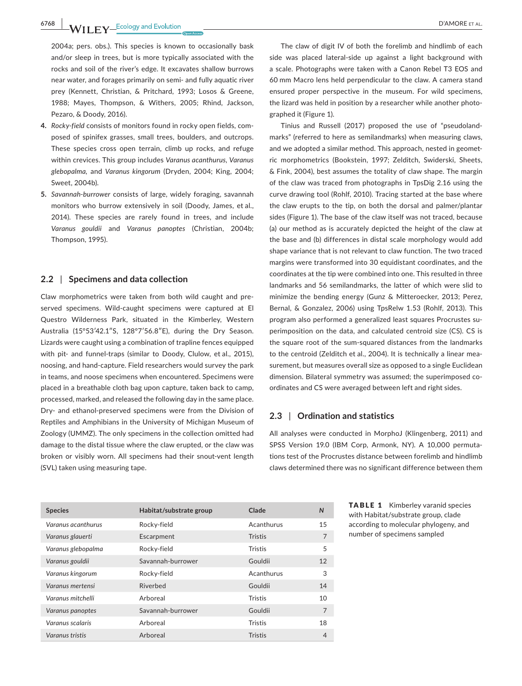**6768 WII FY** Ecology and Evolution *COLOGY* **COLOGY B**<sup>2</sup>AMORE ET AL.

2004a; pers. obs.). This species is known to occasionally bask and/or sleep in trees, but is more typically associated with the rocks and soil of the river's edge. It excavates shallow burrows near water, and forages primarily on semi- and fully aquatic river prey (Kennett, Christian, & Pritchard, 1993; Losos & Greene, 1988; Mayes, Thompson, & Withers, 2005; Rhind, Jackson, Pezaro, & Doody, 2016).

- **4.** *Rocky-field* consists of monitors found in rocky open fields, composed of spinifex grasses, small trees, boulders, and outcrops. These species cross open terrain, climb up rocks, and refuge within crevices. This group includes *Varanus acanthurus, Varanus glebopalma,* and *Varanus kingorum* (Dryden, 2004; King, 2004; Sweet, 2004b).
- **5.** *Savannah-burrower* consists of large, widely foraging, savannah monitors who burrow extensively in soil (Doody, James, et al., 2014). These species are rarely found in trees, and include *Varanus gouldii* and *Varanus panoptes* (Christian, 2004b; Thompson, 1995).

#### **2.2** | **Specimens and data collection**

Claw morphometrics were taken from both wild caught and preserved specimens. Wild-caught specimens were captured at El Questro Wilderness Park, situated in the Kimberley, Western Australia (15°53′42.1″S, 128°7′56.8″E), during the Dry Season. Lizards were caught using a combination of trapline fences equipped with pit- and funnel-traps (similar to Doody, Clulow, et al., 2015), noosing, and hand-capture. Field researchers would survey the park in teams, and noose specimens when encountered. Specimens were placed in a breathable cloth bag upon capture, taken back to camp, processed, marked, and released the following day in the same place. Dry- and ethanol-preserved specimens were from the Division of Reptiles and Amphibians in the University of Michigan Museum of Zoology (UMMZ). The only specimens in the collection omitted had damage to the distal tissue where the claw erupted, or the claw was broken or visibly worn. All specimens had their snout-vent length (SVL) taken using measuring tape.

| <b>Species</b>     | Habitat/substrate group | Clade          | N              |
|--------------------|-------------------------|----------------|----------------|
| Varanus acanthurus | Rocky-field             | Acanthurus     | 15             |
| Varanus glauerti   | Escarpment              | <b>Tristis</b> | $\overline{7}$ |
| Varanus glebopalma | Rocky-field             | <b>Tristis</b> | 5              |
| Varanus gouldii    | Savannah-burrower       | Gouldii        | 12             |
| Varanus kingorum   | Rocky-field             | Acanthurus     | 3              |
| Varanus mertensi   | Riverbed                | Gouldii        | 14             |
| Varanus mitchelli  | Arboreal                | <b>Tristis</b> | 10             |
| Varanus panoptes   | Savannah-burrower       | Gouldii        | $\overline{7}$ |
| Varanus scalaris   | Arboreal                | <b>Tristis</b> | 18             |
| Varanus tristis    | Arboreal                | <b>Tristis</b> | $\overline{4}$ |

The claw of digit IV of both the forelimb and hindlimb of each side was placed lateral-side up against a light background with a scale. Photographs were taken with a Canon Rebel T3 EOS and 60 mm Macro lens held perpendicular to the claw. A camera stand ensured proper perspective in the museum. For wild specimens, the lizard was held in position by a researcher while another photographed it (Figure 1).

Tinius and Russell (2017) proposed the use of "pseudolandmarks" (referred to here as semilandmarks) when measuring claws, and we adopted a similar method. This approach, nested in geometric morphometrics (Bookstein, 1997; Zelditch, Swiderski, Sheets, & Fink, 2004), best assumes the totality of claw shape. The margin of the claw was traced from photographs in TpsDig 2.16 using the curve drawing tool (Rohlf, 2010). Tracing started at the base where the claw erupts to the tip, on both the dorsal and palmer/plantar sides (Figure 1). The base of the claw itself was not traced, because (a) our method as is accurately depicted the height of the claw at the base and (b) differences in distal scale morphology would add shape variance that is not relevant to claw function. The two traced margins were transformed into 30 equidistant coordinates, and the coordinates at the tip were combined into one. This resulted in three landmarks and 56 semilandmarks, the latter of which were slid to minimize the bending energy (Gunz & Mitteroecker, 2013; Perez, Bernal, & Gonzalez, 2006) using TpsRelw 1.53 (Rohlf, 2013). This program also performed a generalized least squares Procrustes superimposition on the data, and calculated centroid size (CS). CS is the square root of the sum-squared distances from the landmarks to the centroid (Zelditch et al., 2004). It is technically a linear measurement, but measures overall size as opposed to a single Euclidean dimension. Bilateral symmetry was assumed; the superimposed coordinates and CS were averaged between left and right sides.

#### **2.3** | **Ordination and statistics**

All analyses were conducted in MorphoJ (Klingenberg, 2011) and SPSS Version 19.0 (IBM Corp, Armonk, NY). A 10,000 permutations test of the Procrustes distance between forelimb and hindlimb claws determined there was no significant difference between them

> TABLE 1 Kimberley varanid species with Habitat/substrate group, clade according to molecular phylogeny, and number of specimens sampled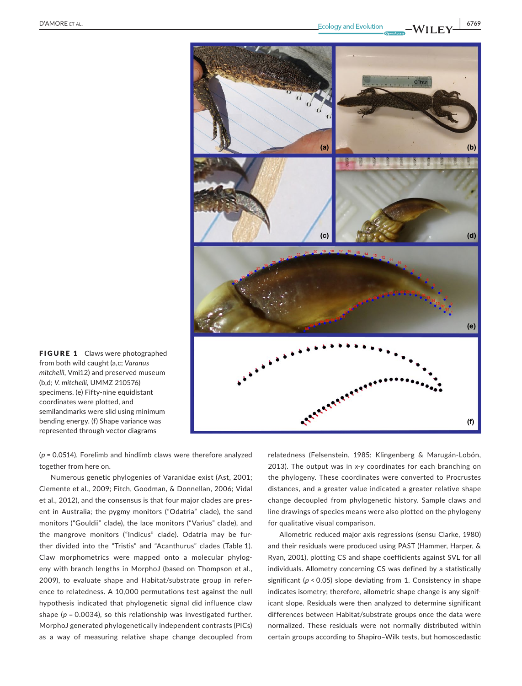

FIGURE 1 Claws were photographed from both wild caught (a,c; *Varanus mitchelli*, Vmi12) and preserved museum (b,d; *V. mitchelli*, UMMZ 210576) specimens. (e) Fifty-nine equidistant coordinates were plotted, and semilandmarks were slid using minimum bending energy. (f) Shape variance was represented through vector diagrams

(*p* = 0.0514). Forelimb and hindlimb claws were therefore analyzed together from here on.

Numerous genetic phylogenies of Varanidae exist (Ast, 2001; Clemente et al., 2009; Fitch, Goodman, & Donnellan, 2006; Vidal et al., 2012), and the consensus is that four major clades are present in Australia; the pygmy monitors ("Odatria" clade), the sand monitors ("Gouldii" clade), the lace monitors ("Varius" clade), and the mangrove monitors ("Indicus" clade). Odatria may be further divided into the "Tristis" and "Acanthurus" clades (Table 1). Claw morphometrics were mapped onto a molecular phylogeny with branch lengths in MorphoJ (based on Thompson et al., 2009), to evaluate shape and Habitat/substrate group in reference to relatedness. A 10,000 permutations test against the null hypothesis indicated that phylogenetic signal did influence claw shape (*p* = 0.0034), so this relationship was investigated further. MorphoJ generated phylogenetically independent contrasts (PICs) as a way of measuring relative shape change decoupled from

relatedness (Felsenstein, 1985; Klingenberg & Marugán-Lobón, 2013). The output was in *x-y* coordinates for each branching on the phylogeny. These coordinates were converted to Procrustes distances, and a greater value indicated a greater relative shape change decoupled from phylogenetic history. Sample claws and line drawings of species means were also plotted on the phylogeny for qualitative visual comparison.

Allometric reduced major axis regressions (sensu Clarke, 1980) and their residuals were produced using PAST (Hammer, Harper, & Ryan, 2001), plotting CS and shape coefficients against SVL for all individuals. Allometry concerning CS was defined by a statistically significant (*p* < 0.05) slope deviating from 1. Consistency in shape indicates isometry; therefore, allometric shape change is any significant slope. Residuals were then analyzed to determine significant differences between Habitat/substrate groups once the data were normalized. These residuals were not normally distributed within certain groups according to Shapiro–Wilk tests, but homoscedastic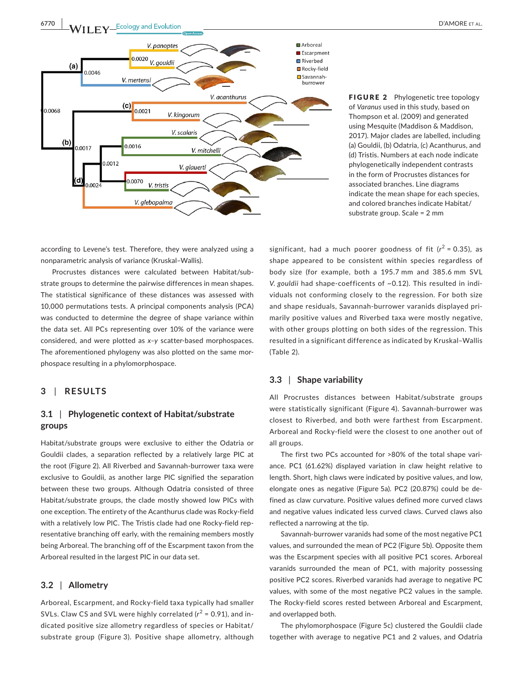

FIGURE 2 Phylogenetic tree topology of *Varanus* used in this study, based on Thompson et al. (2009) and generated using Mesquite (Maddison & Maddison, 2017). Major clades are labelled, including (a) Gouldii, (b) Odatria, (c) Acanthurus, and (d) Tristis. Numbers at each node indicate phylogenetically independent contrasts in the form of Procrustes distances for associated branches. Line diagrams indicate the mean shape for each species, and colored branches indicate Habitat/ substrate group. Scale = 2 mm

according to Levene's test. Therefore, they were analyzed using a nonparametric analysis of variance (Kruskal–Wallis).

Procrustes distances were calculated between Habitat/substrate groups to determine the pairwise differences in mean shapes. The statistical significance of these distances was assessed with 10,000 permutations tests. A principal components analysis (PCA) was conducted to determine the degree of shape variance within the data set. All PCs representing over 10% of the variance were considered, and were plotted as *x–y* scatter-based morphospaces. The aforementioned phylogeny was also plotted on the same morphospace resulting in a phylomorphospace.

## **3** | **RESULTS**

# **3.1** | **Phylogenetic context of Habitat/substrate groups**

Habitat/substrate groups were exclusive to either the Odatria or Gouldii clades, a separation reflected by a relatively large PIC at the root (Figure 2). All Riverbed and Savannah-burrower taxa were exclusive to Gouldii, as another large PIC signified the separation between these two groups. Although Odatria consisted of three Habitat/substrate groups, the clade mostly showed low PICs with one exception. The entirety of the Acanthurus clade was Rocky-field with a relatively low PIC. The Tristis clade had one Rocky-field representative branching off early, with the remaining members mostly being Arboreal. The branching off of the Escarpment taxon from the Arboreal resulted in the largest PIC in our data set.

#### **3.2** | **Allometry**

Arboreal, Escarpment, and Rocky-field taxa typically had smaller SVLs. Claw CS and SVL were highly correlated ( $r^2$  = 0.91), and indicated positive size allometry regardless of species or Habitat/ substrate group (Figure 3). Positive shape allometry, although

significant, had a much poorer goodness of fit  $(r^2 = 0.35)$ , as shape appeared to be consistent within species regardless of body size (for example, both a 195.7 mm and 385.6 mm SVL *V. gouldii* had shape-coefficents of ~0.12). This resulted in individuals not conforming closely to the regression. For both size and shape residuals, Savannah-burrower varanids displayed primarily positive values and Riverbed taxa were mostly negative, with other groups plotting on both sides of the regression. This resulted in a significant difference as indicated by Kruskal–Wallis (Table 2).

#### **3.3** | **Shape variability**

All Procrustes distances between Habitat/substrate groups were statistically significant (Figure 4). Savannah-burrower was closest to Riverbed, and both were farthest from Escarpment. Arboreal and Rocky-field were the closest to one another out of all groups.

The first two PCs accounted for >80% of the total shape variance. PC1 (61.62%) displayed variation in claw height relative to length. Short, high claws were indicated by positive values, and low, elongate ones as negative (Figure 5a). PC2 (20.87%) could be defined as claw curvature. Positive values defined more curved claws and negative values indicated less curved claws. Curved claws also reflected a narrowing at the tip.

Savannah-burrower varanids had some of the most negative PC1 values, and surrounded the mean of PC2 (Figure 5b). Opposite them was the Escarpment species with all positive PC1 scores. Arboreal varanids surrounded the mean of PC1, with majority possessing positive PC2 scores. Riverbed varanids had average to negative PC values, with some of the most negative PC2 values in the sample. The Rocky-field scores rested between Arboreal and Escarpment, and overlapped both.

The phylomorphospace (Figure 5c) clustered the Gouldii clade together with average to negative PC1 and 2 values, and Odatria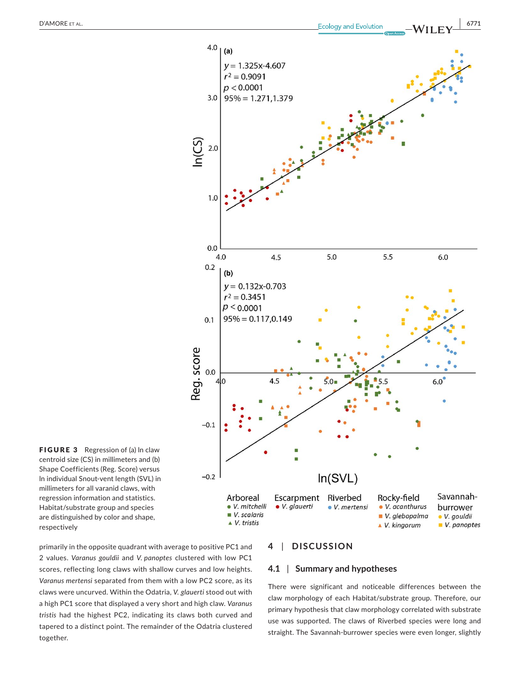



primarily in the opposite quadrant with average to positive PC1 and 2 values. *Varanus gouldii* and *V. panoptes* clustered with low PC1 scores, reflecting long claws with shallow curves and low heights. *Varanus mertensi* separated from them with a low PC2 score, as its claws were uncurved. Within the Odatria, *V. glauerti* stood out with a high PC1 score that displayed a very short and high claw. *Varanus tristis* had the highest PC2, indicating its claws both curved and tapered to a distinct point. The remainder of the Odatria clustered together.

# **4** | **DISCUSSION**

#### **4.1** | **Summary and hypotheses**

There were significant and noticeable differences between the claw morphology of each Habitat/substrate group. Therefore, our primary hypothesis that claw morphology correlated with substrate use was supported. The claws of Riverbed species were long and straight. The Savannah-burrower species were even longer, slightly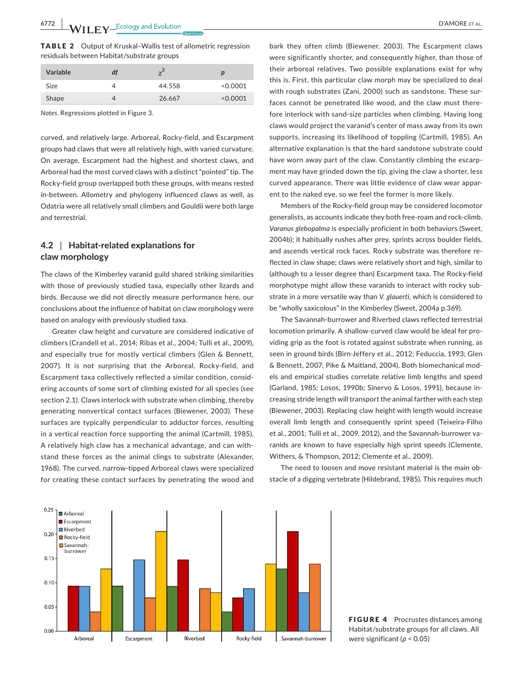TABLE 2 Output of Kruskal–Wallis test of allometric regression residuals between Habitat/substrat*e* groups

| Variable    | df |        |          |
|-------------|----|--------|----------|
| <b>Size</b> | 4  | 44.558 | < 0.0001 |
| Shape       |    | 26.667 | < 0.0001 |
|             |    |        |          |

*Notes*. Regressions plotted in Figure 3.

curved, and relatively large. Arboreal, Rocky-field, and Escarpment groups had claws that were all relatively high, with varied curvature. On average, Escarpment had the highest and shortest claws, and Arboreal had the most curved claws with a distinct "pointed" tip. The Rocky-field group overlapped both these groups, with means rested in-between. Allometry and phylogeny influenced claws as well, as Odatria were all relatively small climbers and Gouldii were both large and terrestrial.

# **4.2** | **Habitat-related explanations for claw morphology**

The claws of the Kimberley varanid guild shared striking similarities with those of previously studied taxa, especially other lizards and birds. Because we did not directly measure performance here, our conclusions about the influence of habitat on claw morphology were based on analogy with previously studied taxa.

Greater claw height and curvature are considered indicative of climbers (Crandell et al., 2014; Ribas et al., 2004; Tulli et al., 2009), and especially true for mostly vertical climbers (Glen & Bennett, 2007). It is not surprising that the Arboreal, Rocky-field, and Escarpment taxa collectively reflected a similar condition, considering accounts of some sort of climbing existed for all species (see section 2.1). Claws interlock with substrate when climbing, thereby generating nonvertical contact surfaces (Biewener, 2003). These surfaces are typically perpendicular to adductor forces, resulting in a vertical reaction force supporting the animal (Cartmill, 1985). A relatively high claw has a mechanical advantage, and can withstand these forces as the animal clings to substrate (Alexander, 1968). The curved, narrow-tipped Arboreal claws were specialized for creating these contact surfaces by penetrating the wood and

bark they often climb (Biewener, 2003). The Escarpment claws were significantly shorter, and consequently higher, than those of their arboreal relatives. Two possible explanations exist for why this is. First, this particular claw morph may be specialized to deal with rough substrates (Zani, 2000) such as sandstone. These surfaces cannot be penetrated like wood, and the claw must therefore interlock with sand-size particles when climbing. Having long claws would project the varanid's center of mass away from its own supports, increasing its likelihood of toppling (Cartmill, 1985). An alternative explanation is that the hard sandstone substrate could have worn away part of the claw. Constantly climbing the escarpment may have grinded down the tip, giving the claw a shorter, less curved appearance. There was little evidence of claw wear apparent to the naked eye, so we feel the former is more likely.

Members of the Rocky-field group may be considered locomotor generalists, as accounts indicate they both free-roam and rock-climb. *Varanus glebopalma* is especially proficient in both behaviors (Sweet, 2004b); it habitually rushes after prey, sprints across boulder fields, and ascends vertical rock faces. Rocky substrate was therefore reflected in claw shape; claws were relatively short and high, similar to (although to a lesser degree than) Escarpment taxa. The Rocky-field morphotype might allow these varanids to interact with rocky substrate in a more versatile way than *V. glauerti*, which is considered to be "wholly saxicolous" in the Kimberley (Sweet, 2004a p.369).

The Savannah-burrower and Riverbed claws reflected terrestrial locomotion primarily. A shallow-curved claw would be ideal for providing grip as the foot is rotated against substrate when running, as seen in ground birds (Birn-Jeffery et al., 2012; Feduccia, 1993; Glen & Bennett, 2007; Pike & Maitland, 2004). Both biomechanical models and empirical studies correlate relative limb lengths and speed (Garland, 1985; Losos, 1990b; Sinervo & Losos, 1991), because increasing stride length will transport the animal farther with each step (Biewener, 2003). Replacing claw height with length would increase overall limb length and consequently sprint speed (Teixeira-Filho et al., 2001; Tulli et al., 2009, 2012), and the Savannah-burrower varanids are known to have especially high sprint speeds (Clemente, Withers, & Thompson, 2012; Clemente et al., 2009).

The need to loosen and move resistant material is the main obstacle of a digging vertebrate (Hildebrand, 1985). This requires much

FIGURE 4 Procrustes distances among Habitat/substrate groups for all claws. All were significant (*p* < 0.05)

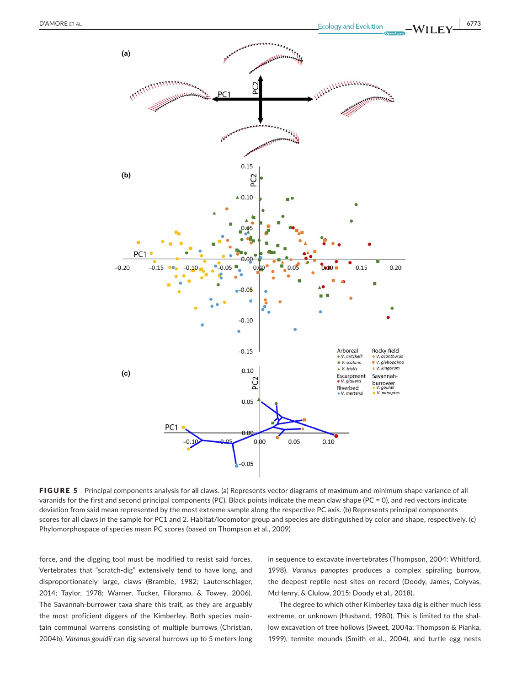

FIGURE 5 Principal components analysis for all claws. (a) Represents vector diagrams of maximum and minimum shape variance of all varanids for the first and second principal components (PC). Black points indicate the mean claw shape (PC = 0), and red vectors indicate deviation from said mean represented by the most extreme sample along the respective PC axis. (b) Represents principal components scores for all claws in the sample for PC1 and 2. Habitat/locomotor group and species are distinguished by color and shape, respectively. (c) Phylomorphospace of species mean PC scores (based on Thompson et al., 2009)

force, and the digging tool must be modified to resist said forces. Vertebrates that "scratch-dig" extensively tend to have long, and disproportionately large, claws (Bramble, 1982; Lautenschlager, 2014; Taylor, 1978; Warner, Tucker, Filoramo, & Towey, 2006). The Savannah-burrower taxa share this trait, as they are arguably the most proficient diggers of the Kimberley. Both species maintain communal warrens consisting of multiple burrows (Christian, 2004b). *Varanus gouldii* can dig several burrows up to 5 meters long in sequence to excavate invertebrates (Thompson, 2004; Whitford, 1998). *Varanus panoptes* produces a complex spiraling burrow, the deepest reptile nest sites on record (Doody, James, Colyvas, McHenry, & Clulow, 2015; Doody et al., 2018).

The degree to which other Kimberley taxa dig is either much less extreme, or unknown (Husband, 1980). This is limited to the shallow excavation of tree hollows (Sweet, 2004a; Thompson & Pianka, 1999), termite mounds (Smith et al., 2004), and turtle egg nests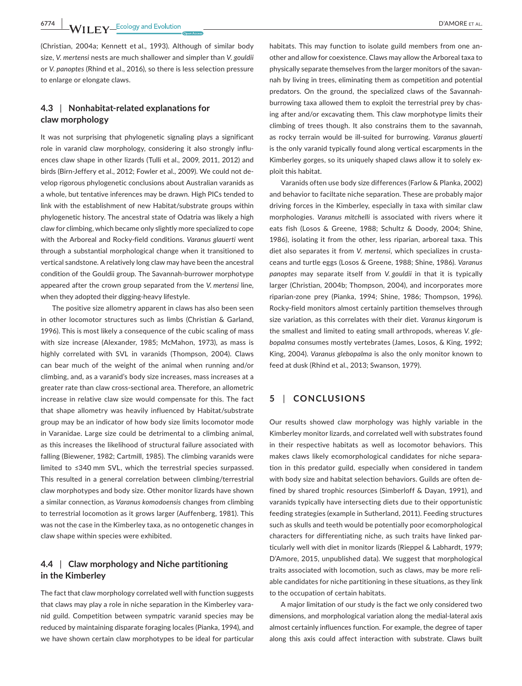**6774 WII FY** Ecology and Evolution *COLOGY CONSIDERT AL.* 

(Christian, 2004a; Kennett et al., 1993). Although of similar body size, *V. mertensi* nests are much shallower and simpler than *V. gouldii* or *V. panoptes* (Rhind et al., 2016), so there is less selection pressure to enlarge or elongate claws.

# **4.3** | **Nonhabitat-related explanations for claw morphology**

It was not surprising that phylogenetic signaling plays a significant role in varanid claw morphology, considering it also strongly influences claw shape in other lizards (Tulli et al., 2009, 2011, 2012) and birds (Birn-Jeffery et al., 2012; Fowler et al., 2009). We could not develop rigorous phylogenetic conclusions about Australian varanids as a whole, but tentative inferences may be drawn. High PICs tended to link with the establishment of new Habitat/substrate groups within phylogenetic history. The ancestral state of Odatria was likely a high claw for climbing, which became only slightly more specialized to cope with the Arboreal and Rocky-field conditions. *Varanus glauerti* went through a substantial morphological change when it transitioned to vertical sandstone. A relatively long claw may have been the ancestral condition of the Gouldii group. The Savannah-burrower morphotype appeared after the crown group separated from the *V. mertensi* line, when they adopted their digging-heavy lifestyle.

The positive size allometry apparent in claws has also been seen in other locomotor structures such as limbs (Christian & Garland, 1996). This is most likely a consequence of the cubic scaling of mass with size increase (Alexander, 1985; McMahon, 1973), as mass is highly correlated with SVL in varanids (Thompson, 2004). Claws can bear much of the weight of the animal when running and/or climbing, and, as a varanid's body size increases, mass increases at a greater rate than claw cross-sectional area. Therefore, an allometric increase in relative claw size would compensate for this. The fact that shape allometry was heavily influenced by Habitat/substrate group may be an indicator of how body size limits locomotor mode in Varanidae. Large size could be detrimental to a climbing animal, as this increases the likelihood of structural failure associated with falling (Biewener, 1982; Cartmill, 1985). The climbing varanids were limited to ≤340 mm SVL, which the terrestrial species surpassed. This resulted in a general correlation between climbing/terrestrial claw morphotypes and body size. Other monitor lizards have shown a similar connection, as *Varanus komodoensis* changes from climbing to terrestrial locomotion as it grows larger (Auffenberg, 1981). This was not the case in the Kimberley taxa, as no ontogenetic changes in claw shape within species were exhibited.

# **4.4** | **Claw morphology and Niche partitioning in the Kimberley**

The fact that claw morphology correlated well with function suggests that claws may play a role in niche separation in the Kimberley varanid guild. Competition between sympatric varanid species may be reduced by maintaining disparate foraging locales (Pianka, 1994), and we have shown certain claw morphotypes to be ideal for particular habitats. This may function to isolate guild members from one another and allow for coexistence. Claws may allow the Arboreal taxa to physically separate themselves from the larger monitors of the savannah by living in trees, eliminating them as competition and potential predators. On the ground, the specialized claws of the Savannahburrowing taxa allowed them to exploit the terrestrial prey by chasing after and/or excavating them. This claw morphotype limits their climbing of trees though. It also constrains them to the savannah, as rocky terrain would be ill-suited for burrowing. *Varanus glauerti* is the only varanid typically found along vertical escarpments in the Kimberley gorges, so its uniquely shaped claws allow it to solely exploit this habitat.

Varanids often use body size differences (Farlow & Planka, 2002) and behavior to faciltate niche separation. These are probably major driving forces in the Kimberley, especially in taxa with similar claw morphologies. *Varanus mitchelli* is associated with rivers where it eats fish (Losos & Greene, 1988; Schultz & Doody, 2004; Shine, 1986), isolating it from the other, less riparian, arboreal taxa. This diet also separates it from *V. mertensi*, which specializes in crustaceans and turtle eggs (Losos & Greene, 1988; Shine, 1986). *Varanus panoptes* may separate itself from *V. gouldii* in that it is typically larger (Christian, 2004b; Thompson, 2004), and incorporates more riparian-zone prey (Pianka, 1994; Shine, 1986; Thompson, 1996). Rocky-field monitors almost certainly partition themselves through size variation, as this correlates with their diet. *Varanus kingorum* is the smallest and limited to eating small arthropods, whereas *V. glebopalma* consumes mostly vertebrates (James, Losos, & King, 1992; King, 2004). *Varanus glebopalma* is also the only monitor known to feed at dusk (Rhind et al., 2013; Swanson, 1979).

### **5** | **CONCLUSIONS**

Our results showed claw morphology was highly variable in the Kimberley monitor lizards, and correlated well with substrates found in their respective habitats as well as locomotor behaviors. This makes claws likely ecomorphological candidates for niche separation in this predator guild, especially when considered in tandem with body size and habitat selection behaviors. Guilds are often defined by shared trophic resources (Simberloff & Dayan, 1991), and varanids typically have intersecting diets due to their opportunistic feeding strategies (example in Sutherland, 2011). Feeding structures such as skulls and teeth would be potentially poor ecomorphological characters for differentiating niche, as such traits have linked particularly well with diet in monitor lizards (Rieppel & Labhardt, 1979; D'Amore, 2015, unpublished data). We suggest that morphological traits associated with locomotion, such as claws, may be more reliable candidates for niche partitioning in these situations, as they link to the occupation of certain habitats.

A major limitation of our study is the fact we only considered two dimensions, and morphological variation along the medial-lateral axis almost certainly influences function. For example, the degree of taper along this axis could affect interaction with substrate. Claws built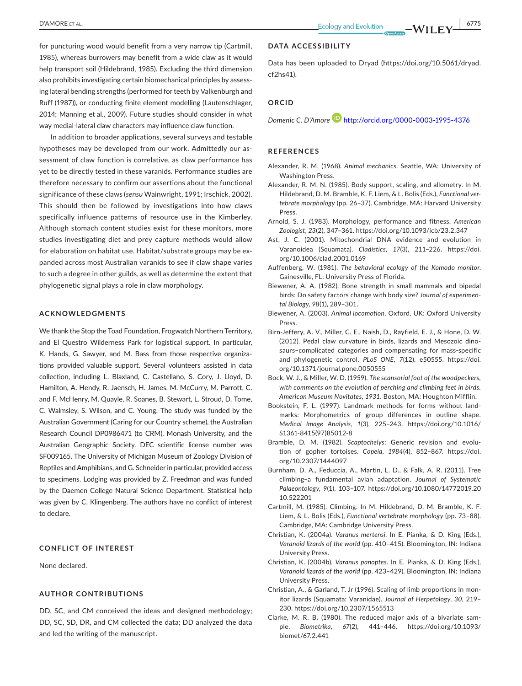for puncturing wood would benefit from a very narrow tip (Cartmill, 1985), whereas burrowers may benefit from a wide claw as it would help transport soil (Hildebrand, 1985). Excluding the third dimension also prohibits investigating certain biomechanical principles by assessing lateral bending strengths (performed for teeth by Valkenburgh and Ruff (1987)), or conducting finite element modelling (Lautenschlager, 2014; Manning et al., 2009). Future studies should consider in what way medial-lateral claw characters may influence claw function.

In addition to broader applications, several surveys and testable hypotheses may be developed from our work. Admittedly our assessment of claw function is correlative, as claw performance has yet to be directly tested in these varanids. Performance studies are therefore necessary to confirm our assertions about the functional significance of these claws (*sensu* Wainwright, 1991; Irschick, 2002). This should then be followed by investigations into how claws specifically influence patterns of resource use in the Kimberley. Although stomach content studies exist for these monitors, more studies investigating diet and prey capture methods would allow for elaboration on habitat use. Habitat/substrate groups may be expanded across most Australian varanids to see if claw shape varies to such a degree in other guilds, as well as determine the extent that phylogenetic signal plays a role in claw morphology.

### **ACKNOWLEDGMENTS**

We thank the Stop the Toad Foundation, Frogwatch Northern Territory, and El Questro Wilderness Park for logistical support. In particular, K. Hands, G. Sawyer, and M. Bass from those respective organizations provided valuable support. Several volunteers assisted in data collection, including L. Blaxland, C. Castellano, S. Cory, J. Lloyd, D. Hamilton, A. Hendy, R. Jaensch, H. James, M. McCurry, M. Parrott, C. and F. McHenry, M. Quayle, R. Soanes, B. Stewart, L. Stroud, D. Tome, C. Walmsley, S. Wilson, and C. Young. The study was funded by the Australian Government (Caring for our Country scheme), the Australian Research Council DP0986471 (to CRM), Monash University, and the Australian Geographic Society. DEC scientific license number was SF009165. The University of Michigan Museum of Zoology Division of Reptiles and Amphibians, and G. Schneider in particular, provided access to specimens. Lodging was provided by Z. Freedman and was funded by the Daemen College Natural Science Department. Statistical help was given by C. Klingenberg. The authors have no conflict of interest to declare.

#### **CONFLICT OF INTEREST**

#### None declared.

#### **AUTHOR CONTRIBUTIONS**

DD, SC, and CM conceived the ideas and designed methodology; DD, SC, SD, DR, and CM collected the data; DD analyzed the data and led the writing of the manuscript.

#### **DATA ACCESSIBILITY**

Data has been uploaded to Dryad [\(https://doi.org/10.5061/dryad.](https://doi.org/10.5061/dryad.cf2hs41) [cf2hs41\)](https://doi.org/10.5061/dryad.cf2hs41).

#### **ORCID**

*Domenic C. D'Amore* <http://orcid.org/0000-0003-1995-4376>

#### **REFERENCES**

- Alexander, R. M. (1968). *Animal mechanics*. Seattle, WA: University of Washington Press.
- Alexander, R. M. N. (1985). Body support, scaling, and allometry. In M. Hildebrand, D. M. Bramble, K. F. Liem, & L. Bolis (Eds.), *Functional vertebrate morphology* (pp. 26–37). Cambridge, MA: Harvard University Press.
- Arnold, S. J. (1983). Morphology, performance and fitness. *American Zoologist*, *23*(2), 347–361.<https://doi.org/10.1093/icb/23.2.347>
- Ast, J. C. (2001). Mitochondrial DNA evidence and evolution in Varanoidea (Squamata). *Cladistics*, *17*(3), 211–226. [https://doi.](https://doi.org/10.1006/clad.2001.0169) [org/10.1006/clad.2001.0169](https://doi.org/10.1006/clad.2001.0169)
- Auffenberg, W. (1981). *The behavioral ecology of the Komodo monitor*. Gainesville, FL: University Press of Florida.
- Biewener, A. A. (1982). Bone strength in small mammals and bipedal birds: Do safety factors change with body size? *Journal of experimental Biology*, *98*(1), 289–301.
- Biewener, A. (2003). *Animal locomotion*. Oxford, UK: Oxford University Press.
- Birn-Jeffery, A. V., Miller, C. E., Naish, D., Rayfield, E. J., & Hone, D. W. (2012). Pedal claw curvature in birds, lizards and Mesozoic dinosaurs–complicated categories and compensating for mass-specific and phylogenetic control. *PLoS ONE*, *7*(12), e50555. [https://doi.](https://doi.org/10.1371/journal.pone.0050555) [org/10.1371/journal.pone.0050555](https://doi.org/10.1371/journal.pone.0050555)
- Bock, W. J., & Miller, W. D. (1959). *The scansorial foot of the woodpeckers, with comments on the evolution of perching and climbing feet in birds. American Museum Novitates, 1931*. Boston, MA: Houghton Mifflin.
- Bookstein, F. L. (1997). Landmark methods for forms without landmarks: Morphometrics of group differences in outline shape. *Medical Image Analysis*, *1*(3), 225–243. [https://doi.org/10.1016/](https://doi.org/10.1016/S1361-8415(97)85012-8) [S1361-8415\(97\)85012-8](https://doi.org/10.1016/S1361-8415(97)85012-8)
- Bramble, D. M. (1982). *Scaptochelys*: Generic revision and evolution of gopher tortoises. *Copeia*, *1984*(4), 852–867. [https://doi.](https://doi.org/10.2307/1444097) [org/10.2307/1444097](https://doi.org/10.2307/1444097)
- Burnham, D. A., Feduccia, A., Martin, L. D., & Falk, A. R. (2011). Tree climbing–a fundamental avian adaptation. *Journal of Systematic Palaeontology*, *9*(1), 103–107. [https://doi.org/10.1080/14772019.20](https://doi.org/10.1080/14772019.2010.522201) [10.522201](https://doi.org/10.1080/14772019.2010.522201)
- Cartmill, M. (1985). Climbing. In M. Hildebrand, D. M. Bramble, K. F. Liem, & L. Bolis (Eds.), *Functional vertebrate morphology* (pp. 73–88). Cambridge, MA: Cambridge University Press.
- Christian, K. (2004a). *Varanus mertensi*. In E. Pianka, & D. King (Eds.), *Varanoid lizards of the world* (pp. 410–415). Bloomington, IN: Indiana University Press.
- Christian, K. (2004b). *Varanus panoptes*. In E. Pianka, & D. King (Eds.), *Varanoid lizards of the world* (pp. 423–429). Bloomington, IN: Indiana University Press.
- Christian, A., & Garland, T. Jr (1996). Scaling of limb proportions in monitor lizards (Squamata: Varanidae). *Journal of Herpetology*, *30*, 219– 230. <https://doi.org/10.2307/1565513>
- Clarke, M. R. B. (1980). The reduced major axis of a bivariate sample. *Biometrika*, *67*(2), 441–446. [https://doi.org/10.1093/](https://doi.org/10.1093/biomet/67.2.441) [biomet/67.2.441](https://doi.org/10.1093/biomet/67.2.441)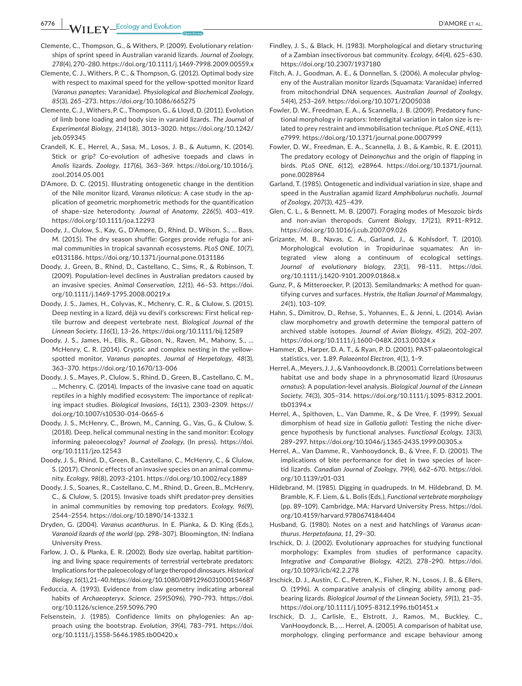**6776 WII FY** Ecology and Evolution <u>Construction Construction Community Constru</u>ction Community D'AMORE ET AL.

- Clemente, C., Thompson, G., & Withers, P. (2009). Evolutionary relationships of sprint speed in Australian varanid lizards. *Journal of Zoology*, *278*(4), 270–280.<https://doi.org/10.1111/j.1469-7998.2009.00559.x>
- Clemente, C. J., Withers, P. C., & Thompson, G. (2012). Optimal body size with respect to maximal speed for the yellow-spotted monitor lizard (*Varanus panoptes*; Varanidae). *Physiological and Biochemical Zoology*, *85*(3), 265–273. <https://doi.org/10.1086/665275>
- Clemente, C. J., Withers, P. C., Thompson, G., & Lloyd, D. (2011). Evolution of limb bone loading and body size in varanid lizards. *The Journal of Experimental Biology*, *214*(18), 3013–3020. [https://doi.org/10.1242/](https://doi.org/10.1242/jeb.059345) [jeb.059345](https://doi.org/10.1242/jeb.059345)
- Crandell, K. E., Herrel, A., Sasa, M., Losos, J. B., & Autumn, K. (2014). Stick or grip? Co-evolution of adhesive toepads and claws in *Anolis* lizards. *Zoology*, *117*(6), 363–369. [https://doi.org/10.1016/j.](https://doi.org/10.1016/j.zool.2014.05.001) [zool.2014.05.001](https://doi.org/10.1016/j.zool.2014.05.001)
- D'Amore, D. C. (2015). Illustrating ontogenetic change in the dentition of the Nile monitor lizard, *Varanus niloticus*: A case study in the application of geometric morphometric methods for the quantification of shape–size heterodonty. *Journal of Anatomy*, *226*(5), 403–419. <https://doi.org/10.1111/joa.12293>
- Doody, J., Clulow, S., Kay, G., D'Amore, D., Rhind, D., Wilson, S., … Bass, M. (2015). The dry season shuffle: Gorges provide refugia for animal communities in tropical savannah ecosystems. *PLoS ONE*, *10*(7), e0131186. <https://doi.org/10.1371/journal.pone.0131186>
- Doody, J., Green, B., Rhind, D., Castellano, C., Sims, R., & Robinson, T. (2009). Population-level declines in Australian predators caused by an invasive species. *Animal Conservation*, *12*(1), 46–53. [https://doi.](https://doi.org/10.1111/j.1469-1795.2008.00219.x) [org/10.1111/j.1469-1795.2008.00219.x](https://doi.org/10.1111/j.1469-1795.2008.00219.x)
- Doody, J. S., James, H., Colyvas, K., Mchenry, C. R., & Clulow, S. (2015). Deep nesting in a lizard, déjà vu devil's corkscrews: First helical reptile burrow and deepest vertebrate nest. *Biological Journal of the Linnean Society*, *116*(1), 13–26. <https://doi.org/10.1111/bij.12589>
- Doody, J. S., James, H., Ellis, R., Gibson, N., Raven, M., Mahony, S., … McHenry, C. R. (2014). Cryptic and complex nesting in the yellowspotted monitor, *Varanus panoptes*. *Journal of Herpetology*, *48*(3), 363–370. <https://doi.org/10.1670/13-006>
- Doody, J. S., Mayes, P., Clulow, S., Rhind, D., Green, B., Castellano, C. M., … Mchenry, C. (2014). Impacts of the invasive cane toad on aquatic reptiles in a highly modified ecosystem: The importance of replicating impact studies. *Biological Invasions*, *16*(11), 2303–2309. [https://](https://doi.org/10.1007/s10530-014-0665-6) [doi.org/10.1007/s10530-014-0665-6](https://doi.org/10.1007/s10530-014-0665-6)
- Doody, J. S., McHenry, C., Brown, M., Canning, G., Vas, G., & Clulow, S. (2018). Deep, helical communal nesting in the sand monitor: Ecology informing paleoecology? *Journal of Zoology*, (In press). [https://doi.](https://doi.org/10.1111/jzo.12543) [org/10.1111/jzo.12543](https://doi.org/10.1111/jzo.12543)
- Doody, J. S., Rhind, D., Green, B., Castellano, C., McHenry, C., & Clulow, S. (2017). Chronic effects of an invasive species on an animal community. *Ecology*, *98*(8), 2093–2101. <https://doi.org/10.1002/ecy.1889>
- Doody, J. S., Soanes, R., Castellano, C. M., Rhind, D., Green, B., McHenry, C., & Clulow, S. (2015). Invasive toads shift predator-prey densities in animal communities by removing top predators. *Ecology*, *96*(9), 2544–2554. <https://doi.org/10.1890/14-1332.1>
- Dryden, G. (2004). *Varanus acanthurus*. In E. Pianka, & D. King (Eds.), *Varanoid lizards of the world* (pp. 298–307). Bloomington, IN: Indiana University Press.
- Farlow, J. O., & Planka, E. R. (2002). Body size overlap, habitat partitioning and living space requirements of terrestrial vertebrate predators: Implications for the paleoecology of large theropod dinosaurs. *Historical Biology*, *16*(1), 21–40.<https://doi.org/10.1080/0891296031000154687>
- Feduccia, A. (1993). Evidence from claw geometry indicating arboreal habits of *Archaeopteryx*. *Science*, *259*(5096), 790–793. [https://doi.](https://doi.org/10.1126/science.259.5096.790) [org/10.1126/science.259.5096.790](https://doi.org/10.1126/science.259.5096.790)
- Felsenstein, J. (1985). Confidence limits on phylogenies: An approach using the bootstrap. *Evolution*, *39*(4), 783–791. [https://doi.](https://doi.org/10.1111/j.1558-5646.1985.tb00420.x) [org/10.1111/j.1558-5646.1985.tb00420.x](https://doi.org/10.1111/j.1558-5646.1985.tb00420.x)
- Findley, J. S., & Black, H. (1983). Morphological and dietary structuring of a Zambian insectivorous bat community. *Ecology*, *64*(4), 625–630. <https://doi.org/10.2307/1937180>
- Fitch, A. J., Goodman, A. E., & Donnellan, S. (2006). A molecular phylogeny of the Australian monitor lizards (Squamata: Varanidae) inferred from mitochondrial DNA sequences. *Australian Journal of Zoology*, *54*(4), 253–269. <https://doi.org/10.1071/ZO05038>
- Fowler, D. W., Freedman, E. A., & Scannella, J. B. (2009). Predatory functional morphology in raptors: Interdigital variation in talon size is related to prey restraint and immobilisation technique. *PLoS ONE*, *4*(11), e7999.<https://doi.org/10.1371/journal.pone.0007999>
- Fowler, D. W., Freedman, E. A., Scannella, J. B., & Kambic, R. E. (2011). The predatory ecology of *Deinonychus* and the origin of flapping in birds. *PLoS ONE*, *6*(12), e28964. [https://doi.org/10.1371/journal.](https://doi.org/10.1371/journal.pone.0028964) [pone.0028964](https://doi.org/10.1371/journal.pone.0028964)
- Garland, T. (1985). Ontogenetic and individual variation in size, shape and speed in the Australian agamid lizard *Amphibolurus nuchalis*. *Journal of Zoology*, *207*(3), 425–439.
- Glen, C. L., & Bennett, M. B. (2007). Foraging modes of Mesozoic birds and non-avian theropods. *Current Biology*, *17*(21), R911–R912. <https://doi.org/10.1016/j.cub.2007.09.026>
- Grizante, M. B., Navas, C. A., Garland, J., & Kohlsdorf, T. (2010). Morphological evolution in Tropidurinae squamates: An integrated view along a continuum of ecological settings. *Journal of evolutionary biology*, *23*(1), 98–111. [https://doi.](https://doi.org/10.1111/j.1420-9101.2009.01868.x) [org/10.1111/j.1420-9101.2009.01868.x](https://doi.org/10.1111/j.1420-9101.2009.01868.x)
- Gunz, P., & Mitteroecker, P. (2013). Semilandmarks: A method for quantifying curves and surfaces. *Hystrix, the Italian Journal of Mammalogy*, *24*(1), 103–109.
- Hahn, S., Dimitrov, D., Rehse, S., Yohannes, E., & Jenni, L. (2014). Avian claw morphometry and growth determine the temporal pattern of archived stable isotopes. *Journal of Avian Biology*, *45*(2), 202–207. <https://doi.org/10.1111/j.1600-048X.2013.00324.x>
- Hammer, Ø., Harper, D. A. T., & Ryan, P. D. (2001). PAST-palaeontological statistics, ver. 1.89. *Palaeontol Electron*, *4*(1), 1–9.
- Herrel, A., Meyers, J. J., & Vanhooydonck, B. (2001). Correlations between habitat use and body shape in a phrynosomatid lizard (*Urosaurus ornatus*): A population-level analysis. *Biological Journal of the Linnean Society*, *74*(3), 305–314. [https://doi.org/10.1111/j.1095-8312.2001.](https://doi.org/10.1111/j.1095-8312.2001.tb01394.x) [tb01394.x](https://doi.org/10.1111/j.1095-8312.2001.tb01394.x)
- Herrel, A., Spithoven, L., Van Damme, R., & De Vree, F. (1999). Sexual dimorphism of head size in *Gallotia galloti*: Testing the niche divergence hypothesis by functional analyses. *Functional Ecology*, *13*(3), 289–297.<https://doi.org/10.1046/j.1365-2435.1999.00305.x>
- Herrel, A., Van Damme, R., Vanhooydonck, B., & Vree, F. D. (2001). The implications of bite performance for diet in two species of lacertid lizards. *Canadian Journal of Zoology*, *79*(4), 662–670. [https://doi.](https://doi.org/10.1139/z01-031) [org/10.1139/z01-031](https://doi.org/10.1139/z01-031)
- Hildebrand, M. (1985). Digging in quadrupeds. In M. Hildebrand, D. M. Bramble, K. F. Liem, & L. Bolis (Eds.), *Functional vertebrate morphology* (pp. 89–109). Cambridge, MA: Harvard University Press. [https://doi.](https://doi.org/10.4159/harvard.9780674184404) [org/10.4159/harvard.9780674184404](https://doi.org/10.4159/harvard.9780674184404)
- Husband, G. (1980). Notes on a nest and hatchlings of *Varanus acanthurus*. *Herpetofauna*, *11*, 29–30.
- Irschick, D. J. (2002). Evolutionary approaches for studying functional morphology: Examples from studies of performance capacity. *Integrative and Comparative Biology*, *42*(2), 278–290. [https://doi.](https://doi.org/10.1093/icb/42.2.278) [org/10.1093/icb/42.2.278](https://doi.org/10.1093/icb/42.2.278)
- Irschick, D. J., Austin, C. C., Petren, K., Fisher, R. N., Losos, J. B., & Ellers, O. (1996). A comparative analysis of clinging ability among padbearing lizards. *Biological Journal of the Linnean Society*, *59*(1), 21–35. <https://doi.org/10.1111/j.1095-8312.1996.tb01451.x>
- Irschick, D. J., Carlisle, E., Elstrott, J., Ramos, M., Buckley, C., VanHooydonck, B., … Herrel, A. (2005). A comparison of habitat use, morphology, clinging performance and escape behaviour among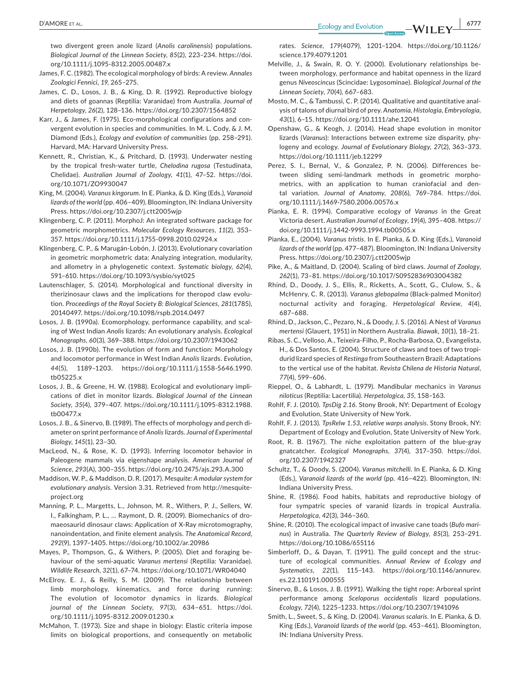two divergent green anole lizard (*Anolis carolinensis*) populations. *Biological Journal of the Linnean Society*, *85*(2), 223–234. [https://doi.](https://doi.org/10.1111/j.1095-8312.2005.00487.x) [org/10.1111/j.1095-8312.2005.00487.x](https://doi.org/10.1111/j.1095-8312.2005.00487.x)

- James, F. C. (1982). The ecological morphology of birds: A review. *Annales Zoologici Fennici*, *19*, 265–275.
- James, C. D., Losos, J. B., & King, D. R. (1992). Reproductive biology and diets of goannas (Reptilia: Varanidae) from Australia. *Journal of Herpetology*, *26*(2), 128–136. <https://doi.org/10.2307/1564852>
- Karr, J., & James, F. (1975). Eco-morphological configurations and convergent evolution in species and communities. In M. L. Cody, & J. M. Diamond (Eds.), *Ecology and evolution of communities* (pp. 258–291). Harvard, MA: Harvard University Press.
- Kennett, R., Christian, K., & Pritchard, D. (1993). Underwater nesting by the tropical fresh-water turtle, *Chelodina rugosa* (Testudinata, Chelidae). *Australian Journal of Zoology*, *41*(1), 47–52. [https://doi.](https://doi.org/10.1071/ZO9930047) [org/10.1071/ZO9930047](https://doi.org/10.1071/ZO9930047)
- King, M. (2004). *Varanus kingorum*. In E. Pianka, & D. King (Eds.), *Varanoid lizards of the world* (pp. 406–409). Bloomington, IN: Indiana University Press. <https://doi.org/10.2307/j.ctt2005wjp>
- Klingenberg, C. P. (2011). MorphoJ: An integrated software package for geometric morphometrics. *Molecular Ecology Resources*, *11*(2), 353– 357. <https://doi.org/10.1111/j.1755-0998.2010.02924.x>
- Klingenberg, C. P., & Marugán-Lobón, J. (2013). Evolutionary covariation in geometric morphometric data: Analyzing integration, modularity, and allometry in a phylogenetic context. *Systematic biology*, *62*(4), 591–610.<https://doi.org/10.1093/sysbio/syt025>
- Lautenschlager, S. (2014). Morphological and functional diversity in therizinosaur claws and the implications for theropod claw evolution. *Proceedings of the Royal Society B: Biological Sciences*, *281*(1785), 20140497.<https://doi.org/10.1098/rspb.2014.0497>
- Losos, J. B. (1990a). Ecomorphology, performance capability, and scaling of West Indian *Anolis* lizards: An evolutionary analysis. *Ecological Monographs*, *60*(3), 369–388. <https://doi.org/10.2307/1943062>
- Losos, J. B. (1990b). The evolution of form and function: Morphology and locomotor performance in West Indian *Anolis* lizards. *Evolution*, *44*(5), 1189–1203. [https://doi.org/10.1111/j.1558-5646.1990.](https://doi.org/10.1111/j.1558-5646.1990.tb05225.x) [tb05225.x](https://doi.org/10.1111/j.1558-5646.1990.tb05225.x)
- Losos, J. B., & Greene, H. W. (1988). Ecological and evolutionary implications of diet in monitor lizards. *Biological Journal of the Linnean Society*, *35*(4), 379–407. [https://doi.org/10.1111/j.1095-8312.1988.](https://doi.org/10.1111/j.1095-8312.1988.tb00477.x) [tb00477.x](https://doi.org/10.1111/j.1095-8312.1988.tb00477.x)
- Losos, J. B., & Sinervo, B. (1989). The effects of morphology and perch diameter on sprint performance of *Anolis* lizards. *Journal of Experimental Biology*, *145*(1), 23–30.
- MacLeod, N., & Rose, K. D. (1993). Inferring locomotor behavior in Paleogene mammals via eigenshape analysis. *American Journal of Science*, *293*(A), 300–355. <https://doi.org/10.2475/ajs.293.A.300>
- Maddison, W. P., & Maddison, D. R. (2017). *Mesquite: A modular system for evolutionary analysis*. Version 3.31. Retrieved from [http://mesquite](http://mesquiteproject.org)[project.org](http://mesquiteproject.org)
- Manning, P. L., Margetts, L., Johnson, M. R., Withers, P. J., Sellers, W. I., Falkingham, P. L., … Raymont, D. R. (2009). Biomechanics of dromaeosaurid dinosaur claws: Application of X-Ray microtomography, nanoindentation, and finite element analysis. *The Anatomical Record*, *292*(9), 1397–1405.<https://doi.org/10.1002/ar.20986>
- Mayes, P., Thompson, G., & Withers, P. (2005). Diet and foraging behaviour of the semi-aquatic *Varanus mertensi* (Reptilia: Varanidae). *Wildlife Research*, *32*(1), 67–74.<https://doi.org/10.1071/WR04040>
- McElroy, E. J., & Reilly, S. M. (2009). The relationship between limb morphology, kinematics, and force during running: The evolution of locomotor dynamics in lizards. *Biological journal of the Linnean Society*, *97*(3), 634–651. [https://doi.](https://doi.org/10.1111/j.1095-8312.2009.01230.x) [org/10.1111/j.1095-8312.2009.01230.x](https://doi.org/10.1111/j.1095-8312.2009.01230.x)
- McMahon, T. (1973). Size and shape in biology: Elastic criteria impose limits on biological proportions, and consequently on metabolic

rates. *Science*, *179*(4079), 1201–1204. [https://doi.org/10.1126/](https://doi.org/10.1126/science.179.4079.1201) [science.179.4079.1201](https://doi.org/10.1126/science.179.4079.1201)

- Melville, J., & Swain, R. O. Y. (2000). Evolutionary relationships between morphology, performance and habitat openness in the lizard genus *Niveoscincus* (Scincidae: Lygosominae). *Biological Journal of the Linnean Society*, *70*(4), 667–683.
- Mosto, M. C., & Tambussi, C. P. (2014). Qualitative and quantitative analysis of talons of diurnal bird of prey. *Anatomia, Histologia, Embryologia*, *43*(1), 6–15.<https://doi.org/10.1111/ahe.12041>
- Openshaw, G., & Keogh, J. (2014). Head shape evolution in monitor lizards (*Varanus*): Interactions between extreme size disparity, phylogeny and ecology. *Journal of Evolutionary Biology*, *27*(2), 363–373. <https://doi.org/10.1111/jeb.12299>
- Perez, S. I., Bernal, V., & Gonzalez, P. N. (2006). Differences between sliding semi-landmark methods in geometric morphometrics, with an application to human craniofacial and dental variation. *Journal of Anatomy*, *208*(6), 769–784. [https://doi.](https://doi.org/10.1111/j.1469-7580.2006.00576.x) [org/10.1111/j.1469-7580.2006.00576.x](https://doi.org/10.1111/j.1469-7580.2006.00576.x)
- Pianka, E. R. (1994). Comparative ecology of *Varanus* in the Great Victoria desert. *Australian Journal of Ecology*, *19*(4), 395–408. [https://](https://doi.org/10.1111/j.1442-9993.1994.tb00505.x) [doi.org/10.1111/j.1442-9993.1994.tb00505.x](https://doi.org/10.1111/j.1442-9993.1994.tb00505.x)
- Pianka, E., (2004). *Varanus tristis*. In E. Pianka, & D. King (Eds.), *Varanoid lizards of the world* (pp. 477–487). Bloomington, IN: Indiana University Press. <https://doi.org/10.2307/j.ctt2005wjp>
- Pike, A., & Maitland, D. (2004). Scaling of bird claws. *Journal of Zoology*, *262*(1), 73–81. <https://doi.org/10.1017/S0952836903004382>
- Rhind, D., Doody, J. S., Ellis, R., Ricketts, A., Scott, G., Clulow, S., & McHenry, C. R. (2013). *Varanus glebopalma* (Black-palmed Monitor) nocturnal activity and foraging. *Herpetological Review*, *4*(4), 687–688.
- Rhind, D., Jackson, C., Pezaro, N., & Doody, J. S. (2016). A Nest of *Varanus mertensi* (Glauert, 1951) in Northern Australia. *Biawak*, *10*(1), 18–21.
- Ribas, S. C., Velloso, A., Teixeira-Filho, P., Rocha-Barbosa, O., Evangelista, H., & Dos Santos, E. (2004). Structure of claws and toes of two tropidurid lizard species of *Restinga* from Southeastern Brazil: Adaptations to the vertical use of the habitat. *Revista Chilena de Historia Natural*, *77*(4), 599–606.
- Rieppel, O., & Labhardt, L. (1979). Mandibular mechanics in *Varanus niloticus* (Reptilia: Lacertilia). *Herpetologica*, *35*, 158–163.
- Rohlf, F. J. (2010). *TpsDig 2.16*. Stony Brook, NY: Department of Ecology and Evolution, State University of New York.
- Rohlf, F. J. (2013). *TpsRelw 1.53, relative warps analysis*. Stony Brook, NY: Department of Ecology and Evolution, State University of New York.
- Root, R. B. (1967). The niche exploitation pattern of the blue-gray gnatcatcher. *Ecological Monographs*, *37*(4), 317–350. [https://doi.](https://doi.org/10.2307/1942327) [org/10.2307/1942327](https://doi.org/10.2307/1942327)
- Schultz, T., & Doody, S. (2004). *Varanus mitchelli*. In E. Pianka, & D. King (Eds.), *Varanoid lizards of the world* (pp. 416–422). Bloomington, IN: Indiana University Press.
- Shine, R. (1986). Food habits, habitats and reproductive biology of four sympatric species of varanid lizards in tropical Australia. *Herpetologica*, *42*(3), 346–360.
- Shine, R. (2010). The ecological impact of invasive cane toads (*Bufo marinus*) in Australia. *The Quarterly Review of Biology*, *85*(3), 253–291. <https://doi.org/10.1086/655116>
- Simberloff, D., & Dayan, T. (1991). The guild concept and the structure of ecological communities. *Annual Review of Ecology and Systematics*, *22*(1), 115–143. [https://doi.org/10.1146/annurev.](https://doi.org/10.1146/annurev.es.22.110191.000555) [es.22.110191.000555](https://doi.org/10.1146/annurev.es.22.110191.000555)
- Sinervo, B., & Losos, J. B. (1991). Walking the tight rope: Arboreal sprint performance among *Sceloporus occidentalis* lizard populations. *Ecology*, *72*(4), 1225–1233.<https://doi.org/10.2307/1941096>
- Smith, L., Sweet, S., & King, D. (2004). *Varanus scalaris*. In E. Pianka, & D. King (Eds.), *Varanoid lizards of the world* (pp. 453–461). Bloomington, IN: Indiana University Press.